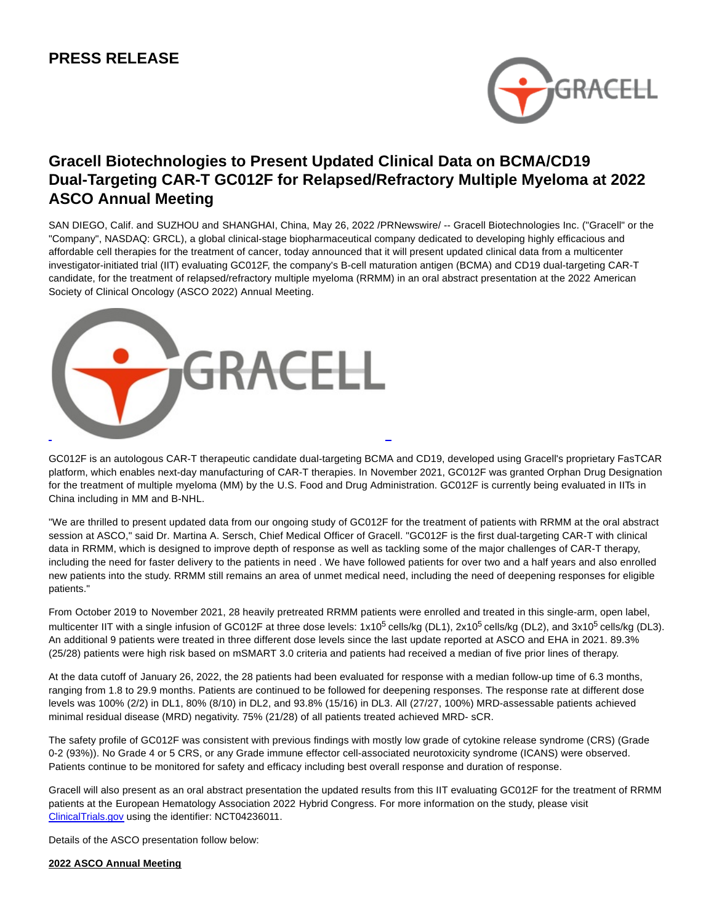

# **Gracell Biotechnologies to Present Updated Clinical Data on BCMA/CD19 Dual-Targeting CAR-T GC012F for Relapsed/Refractory Multiple Myeloma at 2022 ASCO Annual Meeting**

SAN DIEGO, Calif. and SUZHOU and SHANGHAI, China, May 26, 2022 /PRNewswire/ -- Gracell Biotechnologies Inc. ("Gracell" or the "Company", NASDAQ: GRCL), a global clinical-stage biopharmaceutical company dedicated to developing highly efficacious and affordable cell therapies for the treatment of cancer, today announced that it will present updated clinical data from a multicenter investigator-initiated trial (IIT) evaluating GC012F, the company's B-cell maturation antigen (BCMA) and CD19 dual-targeting CAR-T candidate, for the treatment of relapsed/refractory multiple myeloma (RRMM) in an oral abstract presentation at the 2022 American Society of Clinical Oncology (ASCO 2022) Annual Meeting.



GC012F is an autologous CAR-T therapeutic candidate dual-targeting BCMA and CD19, developed using Gracell's proprietary FasTCAR platform, which enables next-day manufacturing of CAR-T therapies. In November 2021, GC012F was granted Orphan Drug Designation for the treatment of multiple myeloma (MM) by the U.S. Food and Drug Administration. GC012F is currently being evaluated in IITs in China including in MM and B-NHL.

"We are thrilled to present updated data from our ongoing study of GC012F for the treatment of patients with RRMM at the oral abstract session at ASCO," said Dr. Martina A. Sersch, Chief Medical Officer of Gracell. "GC012F is the first dual-targeting CAR-T with clinical data in RRMM, which is designed to improve depth of response as well as tackling some of the major challenges of CAR-T therapy, including the need for faster delivery to the patients in need . We have followed patients for over two and a half years and also enrolled new patients into the study. RRMM still remains an area of unmet medical need, including the need of deepening responses for eligible patients."

From October 2019 to November 2021, 28 heavily pretreated RRMM patients were enrolled and treated in this single-arm, open label, multicenter IIT with a single infusion of GC012F at three dose levels: 1x10<sup>5</sup> cells/kg (DL1), 2x10<sup>5</sup> cells/kg (DL2), and 3x10<sup>5</sup> cells/kg (DL3). An additional 9 patients were treated in three different dose levels since the last update reported at ASCO and EHA in 2021. 89.3% (25/28) patients were high risk based on mSMART 3.0 criteria and patients had received a median of five prior lines of therapy.

At the data cutoff of January 26, 2022, the 28 patients had been evaluated for response with a median follow-up time of 6.3 months, ranging from 1.8 to 29.9 months. Patients are continued to be followed for deepening responses. The response rate at different dose levels was 100% (2/2) in DL1, 80% (8/10) in DL2, and 93.8% (15/16) in DL3. All (27/27, 100%) MRD-assessable patients achieved minimal residual disease (MRD) negativity. 75% (21/28) of all patients treated achieved MRD- sCR.

The safety profile of GC012F was consistent with previous findings with mostly low grade of cytokine release syndrome (CRS) (Grade 0-2 (93%)). No Grade 4 or 5 CRS, or any Grade immune effector cell-associated neurotoxicity syndrome (ICANS) were observed. Patients continue to be monitored for safety and efficacy including best overall response and duration of response.

Gracell will also present as an oral abstract presentation the updated results from this IIT evaluating GC012F for the treatment of RRMM patients at the European Hematology Association 2022 Hybrid Congress. For more information on the study, please visit [ClinicalTrials.gov u](https://clinicaltrials.gov/ct2/home)sing the identifier: NCT04236011.

Details of the ASCO presentation follow below:

**2022 ASCO Annual Meeting**